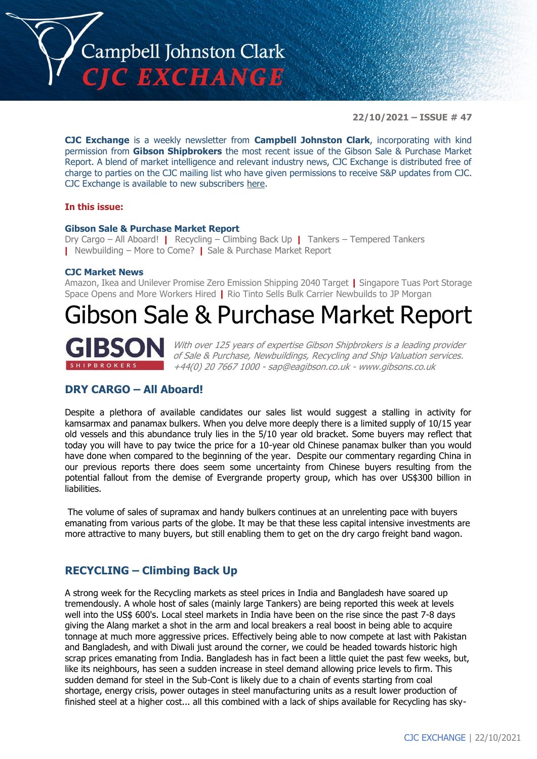

**22/10/2021 – ISSUE # 47**

**CJC Exchange** is a weekly newsletter from **Campbell Johnston Clark**, incorporating with kind permission from **Gibson Shipbrokers** the most recent issue of the Gibson Sale & Purchase Market Report. A blend of market intelligence and relevant industry news, CJC Exchange is distributed free of charge to parties on the CJC mailing list who have given permissions to receive S&P updates from CJC. CJC Exchange is available to new subscribers [here.](mailto:jamesc@cjclaw.com?subject=CJC%20Exchange%20sign-up)

#### **In this issue:**

#### **Gibson Sale & Purchase Market Report**

Dry Cargo – All Aboard! **|** Recycling – Climbing Back Up **|** Tankers – Tempered Tankers **|** Newbuilding – More to Come? **|** Sale & Purchase Market Report

#### **CJC Market News**

Amazon, Ikea and Unilever Promise Zero Emission Shipping 2040 Target **|** Singapore Tuas Port Storage Space Opens and More Workers Hired **|** Rio Tinto Sells Bulk Carrier Newbuilds to JP Morgan

# Gibson Sale & Purchase Market Report



With over 125 years of expertise Gibson Shipbrokers is a leading provider of Sale & Purchase, Newbuildings, Recycling and Ship Valuation services. +44(0) 20 7667 1000 - [sap@eagibson.co.uk](mailto:sap@eagibson.co.uk) - [www.gibsons.co.uk](https://protect-eu.mimecast.com/s/VO6nCGZzRS60KqcK1jQh/)

## **DRY CARGO – All Aboard!**

Despite a plethora of available candidates our sales list would suggest a stalling in activity for kamsarmax and panamax bulkers. When you delve more deeply there is a limited supply of 10/15 year old vessels and this abundance truly lies in the 5/10 year old bracket. Some buyers may reflect that today you will have to pay twice the price for a 10-year old Chinese panamax bulker than you would have done when compared to the beginning of the year. Despite our commentary regarding China in our previous reports there does seem some uncertainty from Chinese buyers resulting from the potential fallout from the demise of Evergrande property group, which has over US\$300 billion in liabilities.

The volume of sales of supramax and handy bulkers continues at an unrelenting pace with buyers emanating from various parts of the globe. It may be that these less capital intensive investments are more attractive to many buyers, but still enabling them to get on the dry cargo freight band wagon.

### **RECYCLING – Climbing Back Up**

A strong week for the Recycling markets as steel prices in India and Bangladesh have soared up tremendously. A whole host of sales (mainly large Tankers) are being reported this week at levels well into the US\$ 600's. Local steel markets in India have been on the rise since the past 7-8 days giving the Alang market a shot in the arm and local breakers a real boost in being able to acquire tonnage at much more aggressive prices. Effectively being able to now compete at last with Pakistan and Bangladesh, and with Diwali just around the corner, we could be headed towards historic high scrap prices emanating from India. Bangladesh has in fact been a little quiet the past few weeks, but, like its neighbours, has seen a sudden increase in steel demand allowing price levels to firm. This sudden demand for steel in the Sub-Cont is likely due to a chain of events starting from coal shortage, energy crisis, power outages in steel manufacturing units as a result lower production of finished steel at a higher cost... all this combined with a lack of ships available for Recycling has sky-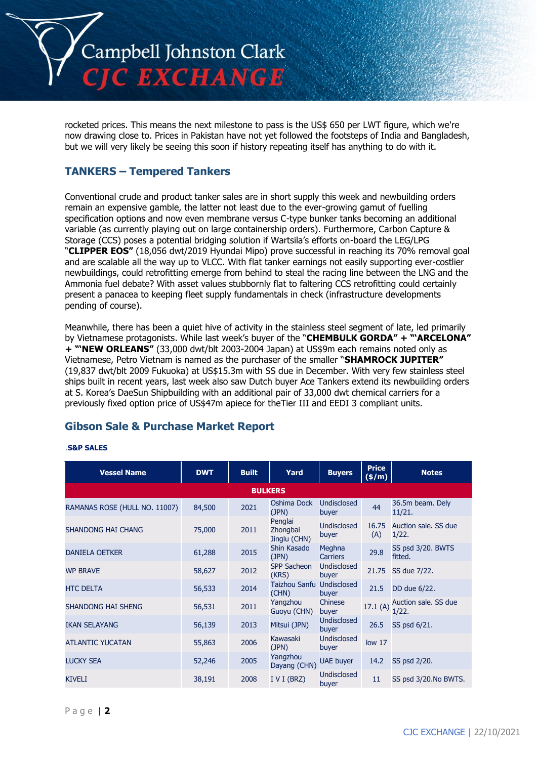

rocketed prices. This means the next milestone to pass is the US\$ 650 per LWT figure, which we're now drawing close to. Prices in Pakistan have not yet followed the footsteps of India and Bangladesh, but we will very likely be seeing this soon if history repeating itself has anything to do with it.

# **TANKERS – Tempered Tankers**

Conventional crude and product tanker sales are in short supply this week and newbuilding orders remain an expensive gamble, the latter not least due to the ever-growing gamut of fuelling specification options and now even membrane versus C-type bunker tanks becoming an additional variable (as currently playing out on large containership orders). Furthermore, Carbon Capture & Storage (CCS) poses a potential bridging solution if Wartsila's efforts on-board the LEG/LPG "**CLIPPER EOS"** (18,056 dwt/2019 Hyundai Mipo) prove successful in reaching its 70% removal goal and are scalable all the way up to VLCC. With flat tanker earnings not easily supporting ever-costlier newbuildings, could retrofitting emerge from behind to steal the racing line between the LNG and the Ammonia fuel debate? With asset values stubbornly flat to faltering CCS retrofitting could certainly present a panacea to keeping fleet supply fundamentals in check (infrastructure developments pending of course).

Meanwhile, there has been a quiet hive of activity in the stainless steel segment of late, led primarily by Vietnamese protagonists. While last week's buyer of the "**CHEMBULK GORDA" + "'ARCELONA" + "'NEW ORLEANS"** (33,000 dwt/blt 2003-2004 Japan) at US\$9m each remains noted only as Vietnamese, Petro Vietnam is named as the purchaser of the smaller "**SHAMROCK JUPITER"** (19,837 dwt/blt 2009 Fukuoka) at US\$15.3m with SS due in December. With very few stainless steel ships built in recent years, last week also saw Dutch buyer Ace Tankers extend its newbuilding orders at S. Korea's DaeSun Shipbuilding with an additional pair of 33,000 dwt chemical carriers for a previously fixed option price of US\$47m apiece for theTier III and EEDI 3 compliant units.

# **Gibson Sale & Purchase Market Report**

#### *.***S&P SALES**

| <b>Vessel Name</b>            | <b>DWT</b> | <b>Built</b> | Yard                                | <b>Buyers</b>               | <b>Price</b><br>(\$/m) | <b>Notes</b>                  |  |  |
|-------------------------------|------------|--------------|-------------------------------------|-----------------------------|------------------------|-------------------------------|--|--|
| <b>BULKERS</b>                |            |              |                                     |                             |                        |                               |  |  |
| RAMANAS ROSE (HULL NO. 11007) | 84,500     | 2021         | Oshima Dock<br>(JPN)                | Undisclosed<br>buyer        | 44                     | 36.5m beam. Dely<br>11/21.    |  |  |
| <b>SHANDONG HAI CHANG</b>     | 75,000     | 2011         | Penglai<br>Zhongbai<br>Jinglu (CHN) | <b>Undisclosed</b><br>buyer | 16.75<br>(A)           | Auction sale. SS due<br>1/22. |  |  |
| <b>DANIELA OETKER</b>         | 61,288     | 2015         | Shin Kasado<br>(JPN)                | Meghna<br><b>Carriers</b>   | 29.8                   | SS psd 3/20. BWTS<br>fitted.  |  |  |
| <b>WP BRAVE</b>               | 58,627     | 2012         | <b>SPP Sacheon</b><br>(KRS)         | <b>Undisclosed</b><br>buyer | 21.75                  | SS due 7/22.                  |  |  |
| <b>HTC DELTA</b>              | 56,533     | 2014         | Taizhou Sanfu<br>(CHN)              | Undisclosed<br>buyer        | 21.5                   | DD due 6/22.                  |  |  |
| <b>SHANDONG HAI SHENG</b>     | 56,531     | 2011         | Yangzhou<br>Guoyu (CHN)             | Chinese<br>buyer            | 17.1(A)                | Auction sale. SS due<br>1/22. |  |  |
| <b>IKAN SELAYANG</b>          | 56,139     | 2013         | Mitsui (JPN)                        | <b>Undisclosed</b><br>buyer | 26.5                   | SS psd 6/21.                  |  |  |
| <b>ATLANTIC YUCATAN</b>       | 55,863     | 2006         | Kawasaki<br>(JPN)                   | <b>Undisclosed</b><br>buyer | low <sub>17</sub>      |                               |  |  |
| <b>LUCKY SEA</b>              | 52,246     | 2005         | Yangzhou<br>Dayang (CHN)            | <b>UAE</b> buyer            | 14.2                   | SS psd 2/20.                  |  |  |
| <b>KIVELI</b>                 | 38,191     | 2008         | I V I (BRZ)                         | <b>Undisclosed</b><br>buyer | 11                     | SS psd 3/20.No BWTS.          |  |  |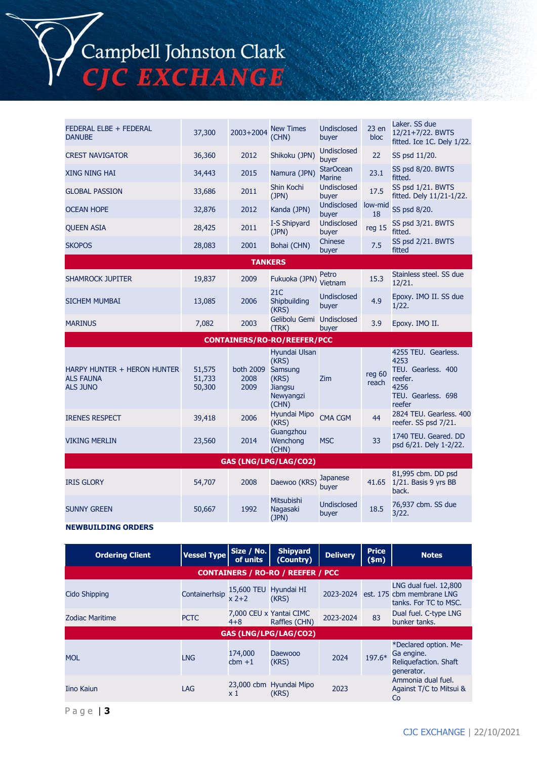Campbell Johnston Clark<br>CJC EXCHANGE

| FEDERAL ELBE + FEDERAL<br><b>DANUBE</b>                            | 37,300                     | 2003+2004                 | <b>New Times</b><br>(CHN)                                                   | <b>Undisclosed</b><br>buyer       | 23en<br>bloc    | Laker. SS due<br>12/21+7/22. BWTS<br>fitted. Ice 1C. Dely 1/22.                                      |  |  |
|--------------------------------------------------------------------|----------------------------|---------------------------|-----------------------------------------------------------------------------|-----------------------------------|-----------------|------------------------------------------------------------------------------------------------------|--|--|
| <b>CREST NAVIGATOR</b>                                             | 36,360                     | 2012                      | Shikoku (JPN)                                                               | <b>Undisclosed</b><br>buyer       | 22              | SS psd 11/20.                                                                                        |  |  |
| <b>XING NING HAI</b>                                               | 34,443                     | 2015                      | Namura (JPN)                                                                | <b>StarOcean</b><br><b>Marine</b> | 23.1            | SS psd 8/20. BWTS<br>fitted.                                                                         |  |  |
| <b>GLOBAL PASSION</b>                                              | 33,686                     | 2011                      | Shin Kochi<br>(JPN)                                                         | Undisclosed<br>buyer              | 17.5            | SS psd 1/21. BWTS<br>fitted. Dely 11/21-1/22.                                                        |  |  |
| <b>OCEAN HOPE</b>                                                  | 32,876                     | 2012                      | Kanda (JPN)                                                                 | <b>Undisclosed</b><br>buyer       | low-mid<br>18   | SS psd 8/20.                                                                                         |  |  |
| <b>QUEEN ASIA</b>                                                  | 28,425                     | 2011                      | I-S Shipyard<br>(JPN)                                                       | <b>Undisclosed</b><br>buyer       | reg 15          | SS psd 3/21. BWTS<br>fitted.                                                                         |  |  |
| <b>SKOPOS</b>                                                      | 28,083                     | 2001                      | Bohai (CHN)                                                                 | Chinese<br>buyer                  | 7.5             | SS psd 2/21. BWTS<br>fitted                                                                          |  |  |
|                                                                    |                            | <b>TANKERS</b>            |                                                                             |                                   |                 |                                                                                                      |  |  |
| <b>SHAMROCK JUPITER</b>                                            | 19,837                     | 2009                      | Fukuoka (JPN)                                                               | Petro<br>Vietnam                  | 15.3            | Stainless steel. SS due<br>12/21.                                                                    |  |  |
| <b>SICHEM MUMBAI</b>                                               | 13,085                     | 2006                      | 21C<br>Shipbuilding<br>(KRS)                                                | <b>Undisclosed</b><br>buyer       | 4.9             | Epoxy. IMO II. SS due<br>1/22.                                                                       |  |  |
| <b>MARINUS</b>                                                     | 7,082                      | 2003                      | Gelibolu Gemi Undisclosed<br>(TRK)                                          | buyer                             | 3.9             | Epoxy. IMO II.                                                                                       |  |  |
|                                                                    |                            |                           | <b>CONTAINERS/RO-RO/REEFER/PCC</b>                                          |                                   |                 |                                                                                                      |  |  |
| HARPY HUNTER + HERON HUNTER<br><b>ALS FAUNA</b><br><b>ALS JUNO</b> | 51,575<br>51,733<br>50,300 | both 2009<br>2008<br>2009 | Hyundai Ulsan<br>(KRS)<br>Samsung<br>(KRS)<br>Jiangsu<br>Newyangzi<br>(CHN) | <b>Zim</b>                        | reg 60<br>reach | 4255 TEU. Gearless.<br>4253<br>TEU. Gearless. 400<br>reefer.<br>4256<br>TEU. Gearless. 698<br>reefer |  |  |
| <b>IRENES RESPECT</b>                                              | 39,418                     | 2006                      | Hyundai Mipo<br>(KRS)                                                       | <b>CMA CGM</b>                    | 44              | 2824 TEU. Gearless, 400<br>reefer. SS psd 7/21.                                                      |  |  |
| <b>VIKING MERLIN</b>                                               | 23,560                     | 2014                      | Guangzhou<br>Wenchong<br>(CHN)                                              | <b>MSC</b>                        | 33              | 1740 TEU, Geared, DD<br>psd 6/21. Dely 1-2/22.                                                       |  |  |
| GAS (LNG/LPG/LAG/CO2)                                              |                            |                           |                                                                             |                                   |                 |                                                                                                      |  |  |
| <b>IRIS GLORY</b>                                                  | 54,707                     | 2008                      | Daewoo (KRS)                                                                | Japanese<br>buyer                 | 41.65           | 81,995 cbm. DD psd<br>1/21. Basis 9 yrs BB<br>back.                                                  |  |  |
| <b>SUNNY GREEN</b>                                                 | 50,667                     | 1992                      | Mitsubishi<br>Nagasaki<br>(JPN)                                             | <b>Undisclosed</b><br>buyer       | 18.5            | 76,937 cbm. SS due<br>3/22.                                                                          |  |  |
| <b>NEWBUILDING ORDERS</b>                                          |                            |                           |                                                                             |                                   |                 |                                                                                                      |  |  |

| <b>Ordering Client</b>                   | <b>Vessel Type</b> | Size / No.<br>of units             | <b>Shipyard</b><br>(Country)     | <b>Delivery</b> | <b>Price</b><br>(\$m) | <b>Notes</b>                                                                |  |  |
|------------------------------------------|--------------------|------------------------------------|----------------------------------|-----------------|-----------------------|-----------------------------------------------------------------------------|--|--|
| <b>CONTAINERS / RO-RO / REEFER / PCC</b> |                    |                                    |                                  |                 |                       |                                                                             |  |  |
| Cido Shipping                            | Containerhsip      | 15,600 TEU Hyundai HI<br>$x^2+2$   | (KRS)                            | 2023-2024       |                       | LNG dual fuel. 12,800<br>est. 175 cbm membrane LNG<br>tanks. For TC to MSC. |  |  |
| <b>Zodiac Maritime</b>                   | <b>PCTC</b>        | 7,000 CEU x Yantai CIMC<br>$4 + 8$ | Raffles (CHN)                    | 2023-2024       | 83                    | Dual fuel. C-type LNG<br>bunker tanks.                                      |  |  |
| <b>GAS (LNG/LPG/LAG/CO2)</b>             |                    |                                    |                                  |                 |                       |                                                                             |  |  |
| <b>MOL</b>                               | <b>LNG</b>         | 174,000<br>$cbm + 1$               | Daewooo<br>(KRS)                 | 2024            | 197.6*                | *Declared option. Me-<br>Ga engine.<br>Reliquefaction. Shaft<br>generator.  |  |  |
| <b>Iino Kaiun</b>                        | LAG                | x 1                                | 23,000 cbm Hyundai Mipo<br>(KRS) | 2023            |                       | Ammonia dual fuel.<br>Against T/C to Mitsui &<br>Co                         |  |  |

P a g e | **3**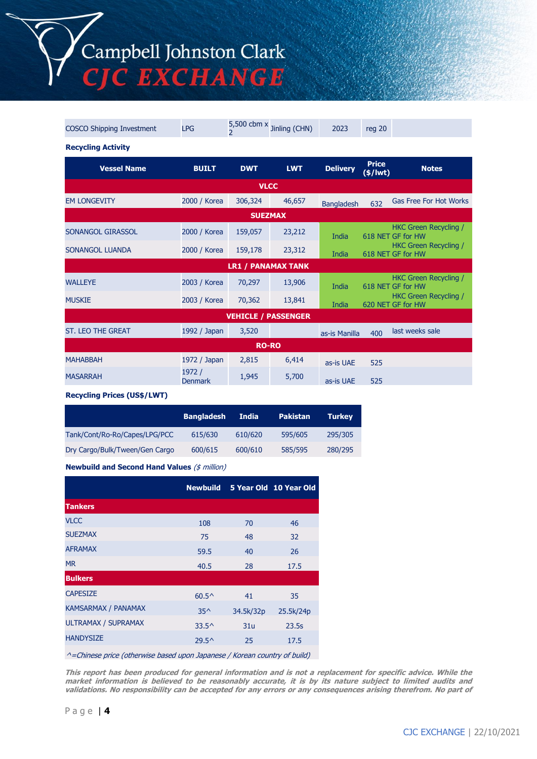Campbell Johnston Clark<br>CJC EXCHANGE

| <b>COSCO Shipping Investment</b> | <b>LPG</b>               | $\overline{2}$            | 5,500 cbm $x$ Jinling (CHN) | 2023              | reg 20                     |                                                   |  |  |
|----------------------------------|--------------------------|---------------------------|-----------------------------|-------------------|----------------------------|---------------------------------------------------|--|--|
| <b>Recycling Activity</b>        |                          |                           |                             |                   |                            |                                                   |  |  |
| <b>Vessel Name</b>               | <b>BUILT</b>             | <b>DWT</b>                | <b>LWT</b>                  | <b>Delivery</b>   | <b>Price</b><br>$(*)$ lwt) | <b>Notes</b>                                      |  |  |
| <b>VLCC</b>                      |                          |                           |                             |                   |                            |                                                   |  |  |
| <b>EM LONGEVITY</b>              | 2000 / Korea             | 306,324                   | 46,657                      | <b>Bangladesh</b> | 632                        | <b>Gas Free For Hot Works</b>                     |  |  |
|                                  | <b>SUEZMAX</b>           |                           |                             |                   |                            |                                                   |  |  |
| SONANGOL GIRASSOL                | 2000 / Korea             | 159,057                   | 23,212                      | India             |                            | HKC Green Recycling /<br>618 NET GF for HW        |  |  |
| SONANGOL LUANDA                  | 2000 / Korea             | 159,178                   | 23,312                      | India             |                            | HKC Green Recycling /<br>618 NET GF for HW        |  |  |
|                                  |                          | <b>LR1 / PANAMAX TANK</b> |                             |                   |                            |                                                   |  |  |
| <b>WALLEYE</b>                   | 2003 / Korea             | 70,297                    | 13,906                      | India             |                            | HKC Green Recycling /<br>618 NET GF for HW        |  |  |
| <b>MUSKIE</b>                    | 2003 / Korea             | 70,362                    | 13,841                      | India             |                            | <b>HKC Green Recycling /</b><br>620 NET GF for HW |  |  |
| <b>VEHICLE / PASSENGER</b>       |                          |                           |                             |                   |                            |                                                   |  |  |
| <b>ST. LEO THE GREAT</b>         | 1992 / Japan             | 3,520                     |                             | as-is Manilla     | 400                        | last weeks sale                                   |  |  |
| <b>RO-RO</b>                     |                          |                           |                             |                   |                            |                                                   |  |  |
| <b>MAHABBAH</b>                  | 1972 / Japan             | 2,815                     | 6,414                       | as-is UAE         | 525                        |                                                   |  |  |
| <b>MASARRAH</b>                  | 1972 /<br><b>Denmark</b> | 1,945                     | 5,700                       | as-is UAE         | 525                        |                                                   |  |  |

**Recycling Prices (US\$/LWT)**

|                                | <b>Bangladesh</b> | India   | <b>Pakistan</b> | <b>Turkey</b> |
|--------------------------------|-------------------|---------|-----------------|---------------|
| Tank/Cont/Ro-Ro/Capes/LPG/PCC  | 615/630           | 610/620 | 595/605         | 295/305       |
| Dry Cargo/Bulk/Tween/Gen Cargo | 600/615           | 600/610 | 585/595         | 280/295       |

**Newbuild and Second Hand Values** (\$ million)

|                            | <b>Newbuild</b> |           | 5 Year Old 10 Year Old |
|----------------------------|-----------------|-----------|------------------------|
| <b>Tankers</b>             |                 |           |                        |
| <b>VLCC</b>                | 108             | 70        | 46                     |
| <b>SUEZMAX</b>             | 75              | 48        | 32                     |
| <b>AFRAMAX</b>             | 59.5            | 40        | 26                     |
| <b>MR</b>                  | 40.5            | 28        | 17.5                   |
| <b>Bulkers</b>             |                 |           |                        |
| <b>CAPESIZE</b>            | $60.5^{\circ}$  | 41        | 35                     |
| <b>KAMSARMAX / PANAMAX</b> | $35^$           | 34.5k/32p | 25.5k/24p              |
| ULTRAMAX / SUPRAMAX        | $33.5^{\circ}$  | 31u       | 23.5s                  |
| <b>HANDYSIZE</b>           | $29.5^{\circ}$  | 25        | 17.5                   |

^=Chinese price (otherwise based upon Japanese / Korean country of build)

**This report has been produced for general information and is not a replacement for specific advice. While the market information is believed to be reasonably accurate, it is by its nature subject to limited audits and validations. No responsibility can be accepted for any errors or any consequences arising therefrom. No part of**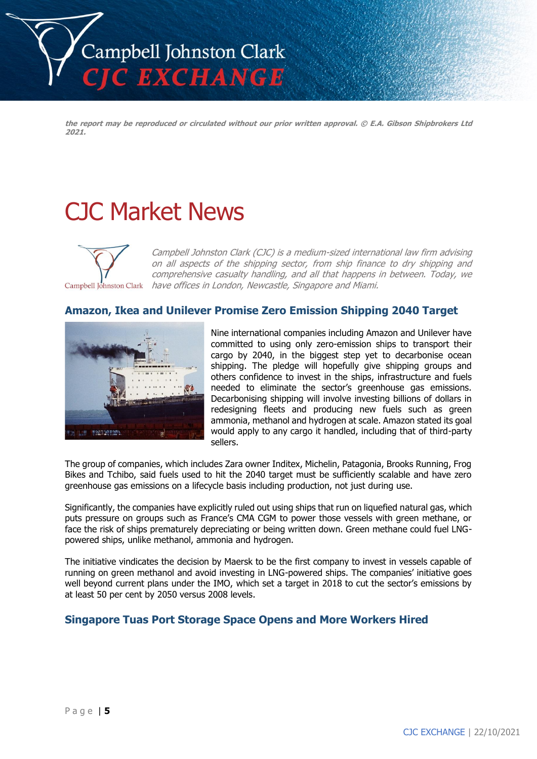

**the report may be reproduced or circulated without our prior written approval. © E.A. Gibson Shipbrokers Ltd 2021.**

# CJC Market News



Campbell Johnston Clark (CJC) is a medium-sized international law firm advising on all aspects of the shipping sector, from ship finance to dry shipping and comprehensive casualty handling, and all that happens in between. Today, we have offices in London, Newcastle, Singapore and Miami.

## **Amazon, Ikea and Unilever Promise Zero Emission Shipping 2040 Target**



Nine international companies including Amazon and Unilever have committed to using only zero-emission ships to transport their cargo by 2040, in the biggest step yet to decarbonise ocean shipping. The pledge will hopefully give shipping groups and others confidence to invest in the ships, infrastructure and fuels needed to eliminate the sector's greenhouse gas emissions. Decarbonising shipping will involve investing billions of dollars in redesigning fleets and producing new fuels such as green ammonia, methanol and hydrogen at scale. Amazon stated its goal would apply to any cargo it handled, including that of third-party sellers.

The group of companies, which includes Zara owner Inditex, Michelin, Patagonia, Brooks Running, Frog Bikes and Tchibo, said fuels used to hit the 2040 target must be sufficiently scalable and have zero greenhouse gas emissions on a lifecycle basis including production, not just during use.

Significantly, the companies have explicitly ruled out using ships that run on liquefied natural gas, which puts pressure on groups such as France's CMA CGM to power those vessels with green methane, or face the risk of ships prematurely depreciating or being written down. Green methane could fuel LNGpowered ships, unlike methanol, ammonia and hydrogen.

The initiative vindicates the decision by Maersk to be the first company to invest in vessels capable of running on green methanol and avoid investing in LNG-powered ships. The companies' initiative goes well beyond current plans under the IMO, which set a target in 2018 to cut the sector's emissions by at least 50 per cent by 2050 versus 2008 levels.

# **Singapore Tuas Port Storage Space Opens and More Workers Hired**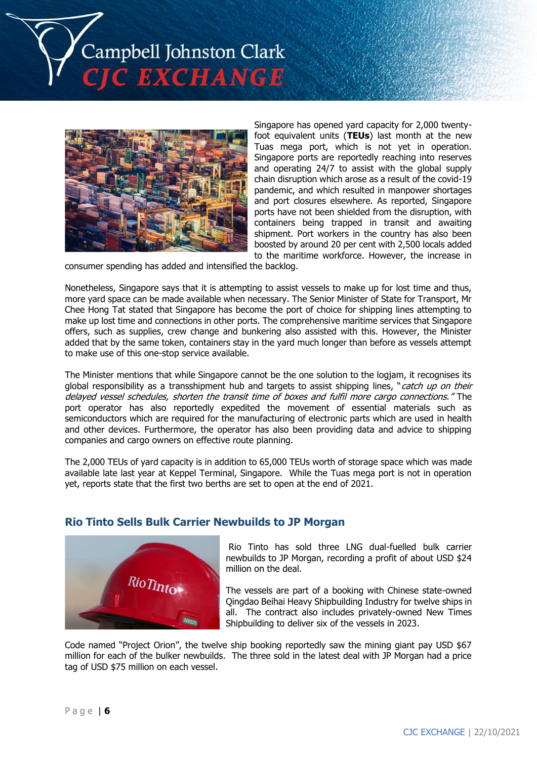



Singapore has opened yard capacity for 2,000 twentyfoot equivalent units (**TEUs**) last month at the new Tuas mega port, which is not yet in operation. Singapore ports are reportedly reaching into reserves and operating 24/7 to assist with the global supply chain disruption which arose as a result of the covid-19 pandemic, and which resulted in manpower shortages and port closures elsewhere. As reported, Singapore ports have not been shielded from the disruption, with containers being trapped in transit and awaiting shipment. Port workers in the country has also been boosted by around 20 per cent with 2,500 locals added to the maritime workforce. However, the increase in

consumer spending has added and intensified the backlog.

Nonetheless, Singapore says that it is attempting to assist vessels to make up for lost time and thus, more yard space can be made available when necessary. The Senior Minister of State for Transport, Mr Chee Hong Tat stated that Singapore has become the port of choice for shipping lines attempting to make up lost time and connections in other ports. The comprehensive maritime services that Singapore offers, such as supplies, crew change and bunkering also assisted with this. However, the Minister added that by the same token, containers stay in the yard much longer than before as vessels attempt to make use of this one-stop service available.

The Minister mentions that while Singapore cannot be the one solution to the logjam, it recognises its global responsibility as a transshipment hub and targets to assist shipping lines, "catch up on their delayed vessel schedules, shorten the transit time of boxes and fulfil more cargo connections." The port operator has also reportedly expedited the movement of essential materials such as semiconductors which are required for the manufacturing of electronic parts which are used in health and other devices. Furthermore, the operator has also been providing data and advice to shipping companies and cargo owners on effective route planning.

The 2,000 TEUs of yard capacity is in addition to 65,000 TEUs worth of storage space which was made available late last year at Keppel Terminal, Singapore. While the Tuas mega port is not in operation yet, reports state that the first two berths are set to open at the end of 2021.

### **Rio Tinto Sells Bulk Carrier Newbuilds to JP Morgan**



Rio Tinto has sold three LNG dual-fuelled bulk carrier newbuilds to JP Morgan, recording a profit of about USD \$24 million on the deal.

The vessels are part of a booking with Chinese state-owned Qingdao Beihai Heavy Shipbuilding Industry for twelve ships in all. The contract also includes privately-owned New Times Shipbuilding to deliver six of the vessels in 2023.

Code named "Project Orion", the twelve ship booking reportedly saw the mining giant pay USD \$67 million for each of the bulker newbuilds. The three sold in the latest deal with JP Morgan had a price tag of USD \$75 million on each vessel.